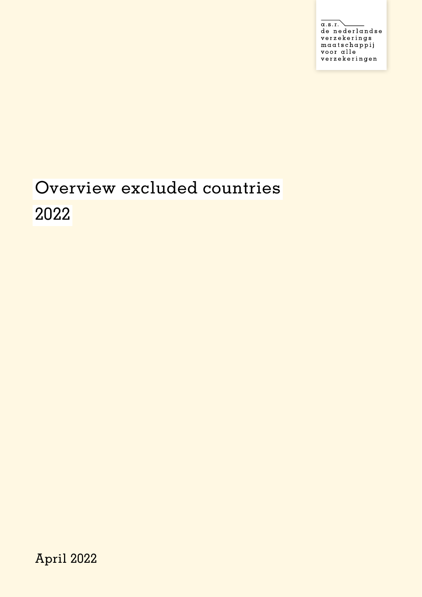$\overline{\alpha.s.r.}$ de nederlandse verzekerings maatschappij voor alle verzekeringen

## Overview excluded countries 2022

April 2022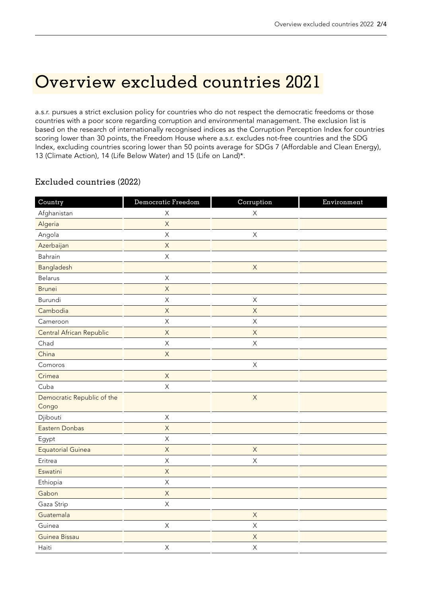## Overview excluded countries 2021

a.s.r. pursues a strict exclusion policy for countries who do not respect the democratic freedoms or those countries with a poor score regarding corruption and environmental management. The exclusion list is based on the research of internationally recognised indices as the Corruption Perception Index for countries scoring lower than 30 points, the Freedom House where a.s.r. excludes not-free countries and the SDG Index, excluding countries scoring lower than 50 points average for SDGs 7 (Affordable and Clean Energy), 13 (Climate Action), 14 (Life Below Water) and 15 (Life on Land)\*.

## Excluded countries (2022)

| Country                             | Democratic Freedom | Corruption     | Environment |
|-------------------------------------|--------------------|----------------|-------------|
| Afghanistan                         | $\mathsf X$        | $\mathsf X$    |             |
| Algeria                             | $\mathsf X$        |                |             |
| Angola                              | $\mathsf X$        | $\mathsf X$    |             |
| Azerbaijan                          | $\mathsf X$        |                |             |
| Bahrain                             | $\mathsf X$        |                |             |
| Bangladesh                          |                    | $\mathsf X$    |             |
| Belarus                             | $\mathsf X$        |                |             |
| <b>Brunei</b>                       | $\mathsf X$        |                |             |
| Burundi                             | $\mathsf{X}$       | $\mathsf X$    |             |
| Cambodia                            | $\mathsf X$        | $\mathsf X$    |             |
| Cameroon                            | $\mathsf X$        | $\mathsf X$    |             |
| Central African Republic            | $\overline{X}$     | $\overline{X}$ |             |
| Chad                                | $\mathsf X$        | $\mathsf X$    |             |
| China                               | $\mathsf X$        |                |             |
| Comoros                             |                    | $\mathsf X$    |             |
| Crimea                              | $\mathsf X$        |                |             |
| Cuba                                | $\mathsf X$        |                |             |
| Democratic Republic of the<br>Congo |                    | $\mathsf X$    |             |
| Djibouti                            | $\mathsf X$        |                |             |
| Eastern Donbas                      | $\overline{X}$     |                |             |
| Egypt                               | $\mathsf X$        |                |             |
| <b>Equatorial Guinea</b>            | $\mathsf X$        | $\mathsf X$    |             |
| Eritrea                             | $\mathsf X$        | $\mathsf X$    |             |
| Eswatini                            | $\mathsf X$        |                |             |
| Ethiopia                            | $\mathsf X$        |                |             |
| Gabon                               | $\mathsf X$        |                |             |
| Gaza Strip                          | $\mathsf X$        |                |             |
| Guatemala                           |                    | $\overline{X}$ |             |
| Guinea                              | $\mathsf X$        | $\mathsf X$    |             |
| Guinea Bissau                       |                    | $\mathsf X$    |             |
| Haiti                               | $\mathsf X$        | $\mathsf X$    |             |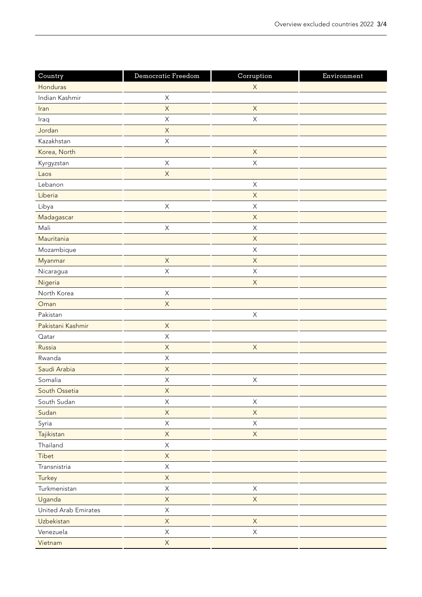| Country              | Democratic Freedom | Corruption                | Environment |
|----------------------|--------------------|---------------------------|-------------|
| Honduras             |                    | $\mathsf X$               |             |
| Indian Kashmir       | $\mathsf X$        |                           |             |
| Iran                 | $\mathsf X$        | $\mathsf X$               |             |
| Iraq                 | $\sf X$            | $\mathsf X$               |             |
| Jordan               | $\mathsf X$        |                           |             |
| Kazakhstan           | $\mathsf X$        |                           |             |
| Korea, North         |                    | $\mathsf X$               |             |
| Kyrgyzstan           | $\mathsf X$        | $\boldsymbol{\mathsf{X}}$ |             |
| Laos                 | $\mathsf X$        |                           |             |
| Lebanon              |                    | $\mathsf X$               |             |
| Liberia              |                    | $\mathsf X$               |             |
| Libya                | $\mathsf X$        | $\boldsymbol{\mathsf{X}}$ |             |
| Madagascar           |                    | $\mathsf X$               |             |
| Mali                 | $\mathsf X$        | $\mathsf X$               |             |
| Mauritania           |                    | $\mathsf X$               |             |
| Mozambique           |                    | $\boldsymbol{\mathsf{X}}$ |             |
| Myanmar              | $\mathsf X$        | $\mathsf X$               |             |
| Nicaragua            | $\mathsf X$        | $\mathsf X$               |             |
| Nigeria              |                    | $\mathsf X$               |             |
| North Korea          | $\mathsf X$        |                           |             |
| Oman                 | $\mathsf X$        |                           |             |
| Pakistan             |                    | $\boldsymbol{\mathsf{X}}$ |             |
| Pakistani Kashmir    | $\mathsf X$        |                           |             |
| Qatar                | $\mathsf X$        |                           |             |
| Russia               | $\mathsf X$        | $\mathsf X$               |             |
| Rwanda               | $\mathsf X$        |                           |             |
| Saudi Arabia         | $\mathsf X$        |                           |             |
| Somalia              | $\mathsf X$        | $\mathsf X$               |             |
| South Ossetia        | $\mathsf X$        |                           |             |
| South Sudan          | $\mathsf X$        | $\mathsf X$               |             |
| Sudan                | $\mathsf X$        | $\mathsf X$               |             |
| Syria                | $\mathsf X$        | $\boldsymbol{\mathsf{X}}$ |             |
| Tajikistan           | $\mathsf X$        | $\mathsf X$               |             |
| Thailand             | X                  |                           |             |
| Tibet                | $\mathsf X$        |                           |             |
| Transnistria         | $\mathsf X$        |                           |             |
| Turkey               | $\mathsf X$        |                           |             |
| Turkmenistan         | X                  | $\boldsymbol{\mathsf{X}}$ |             |
| Uganda               | $\mathsf X$        | $\mathsf X$               |             |
| United Arab Emirates | $\mathsf X$        |                           |             |
| Uzbekistan           | $\mathsf X$        | $\mathsf X$               |             |
| Venezuela            | $\mathsf X$        | $\mathsf X$               |             |
| Vietnam              | $\mathsf X$        |                           |             |